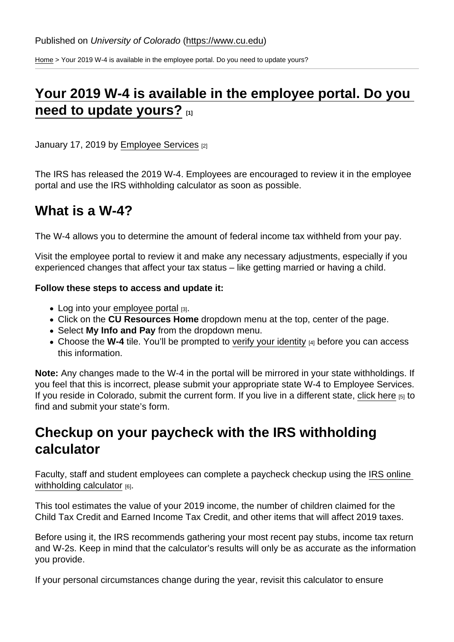[Home](https://www.cu.edu/) > Your 2019 W-4 is available in the employee portal. Do you need to update yours?

# [Your 2019 W-4 is available in the employee portal. Do you](https://www.cu.edu/blog/work-life/your-2019-w-4-available-employee-portal-do-you-need-update-yours)  [need to update yours?](https://www.cu.edu/blog/work-life/your-2019-w-4-available-employee-portal-do-you-need-update-yours) [1]

January 17, 2019 by [Employee Services](https://www.cu.edu/blog/work-life/author/10695) [2]

The IRS has released the 2019 W-4. Employees are encouraged to review it in the employee portal and use the IRS withholding calculator as soon as possible.

### What is a W-4?

The W-4 allows you to determine the amount of federal income tax withheld from your pay.

Visit the employee portal to review it and make any necessary adjustments, especially if you experienced changes that affect your tax status – like getting married or having a child.

Follow these steps to access and update it:

- Log into your [employee portal](https://my.cu.edu/) [3].
- Click on the CU Resources Home dropdown menu at the top, center of the page.
- Select My Info and Pay from the dropdown menu.
- Choose the W-4 tile. You'll be prompted to [verify your identity](https://www.cu.edu/employee-services/it-takes-two-portal-security-strengthened-new-tool) [4] before you can access this information.

Note: Any changes made to the W-4 in the portal will be mirrored in your state withholdings. If you feel that this is incorrect, please submit your appropriate state W-4 to Employee Services. If you reside in Colorado, submit the current form. If you live in a different state, [click here](https://www.cu.edu/docs/state-w-4-forms) [5] to find and submit your state's form.

## Checkup on your paycheck with the IRS withholding calculator

Faculty, staff and student employees can complete a paycheck checkup using the [IRS online](https://www.irs.gov/individuals/irs-withholding-calculator)  [withholding calculator](https://www.irs.gov/individuals/irs-withholding-calculator) [6].

This tool estimates the value of your 2019 income, the number of children claimed for the Child Tax Credit and Earned Income Tax Credit, and other items that will affect 2019 taxes.

Before using it, the IRS recommends gathering your most recent pay stubs, income tax return and W-2s. Keep in mind that the calculator's results will only be as accurate as the information you provide.

If your personal circumstances change during the year, revisit this calculator to ensure